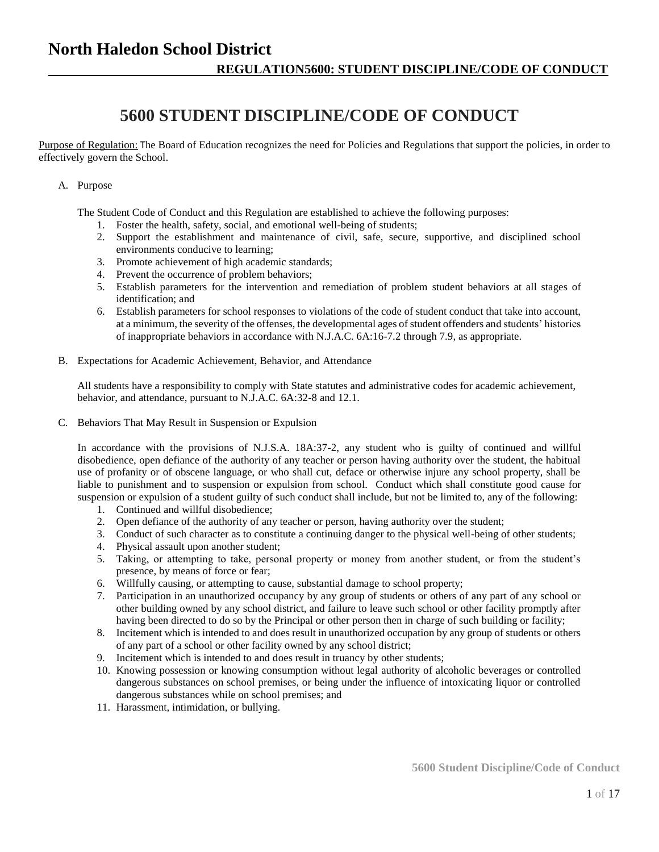## **5600 STUDENT DISCIPLINE/CODE OF CONDUCT**

Purpose of Regulation: The Board of Education recognizes the need for Policies and Regulations that support the policies, in order to effectively govern the School.

#### A. Purpose

The Student Code of Conduct and this Regulation are established to achieve the following purposes:

- 1. Foster the health, safety, social, and emotional well-being of students;
- 2. Support the establishment and maintenance of civil, safe, secure, supportive, and disciplined school environments conducive to learning;
- 3. Promote achievement of high academic standards;
- 4. Prevent the occurrence of problem behaviors;
- 5. Establish parameters for the intervention and remediation of problem student behaviors at all stages of identification; and
- 6. Establish parameters for school responses to violations of the code of student conduct that take into account, at a minimum, the severity of the offenses, the developmental ages of student offenders and students' histories of inappropriate behaviors in accordance with N.J.A.C. 6A:16-7.2 through 7.9, as appropriate.
- B. Expectations for Academic Achievement, Behavior, and Attendance

All students have a responsibility to comply with State statutes and administrative codes for academic achievement, behavior, and attendance, pursuant to N.J.A.C. 6A:32-8 and 12.1.

C. Behaviors That May Result in Suspension or Expulsion

In accordance with the provisions of N.J.S.A. 18A:37-2, any student who is guilty of continued and willful disobedience, open defiance of the authority of any teacher or person having authority over the student, the habitual use of profanity or of obscene language, or who shall cut, deface or otherwise injure any school property, shall be liable to punishment and to suspension or expulsion from school. Conduct which shall constitute good cause for suspension or expulsion of a student guilty of such conduct shall include, but not be limited to, any of the following:

- 1. Continued and willful disobedience;
- 2. Open defiance of the authority of any teacher or person, having authority over the student;
- 3. Conduct of such character as to constitute a continuing danger to the physical well-being of other students;
- 4. Physical assault upon another student;
- 5. Taking, or attempting to take, personal property or money from another student, or from the student's presence, by means of force or fear;
- 6. Willfully causing, or attempting to cause, substantial damage to school property;
- 7. Participation in an unauthorized occupancy by any group of students or others of any part of any school or other building owned by any school district, and failure to leave such school or other facility promptly after having been directed to do so by the Principal or other person then in charge of such building or facility;
- 8. Incitement which is intended to and does result in unauthorized occupation by any group of students or others of any part of a school or other facility owned by any school district;
- 9. Incitement which is intended to and does result in truancy by other students;
- 10. Knowing possession or knowing consumption without legal authority of alcoholic beverages or controlled dangerous substances on school premises, or being under the influence of intoxicating liquor or controlled dangerous substances while on school premises; and
- 11. Harassment, intimidation, or bullying.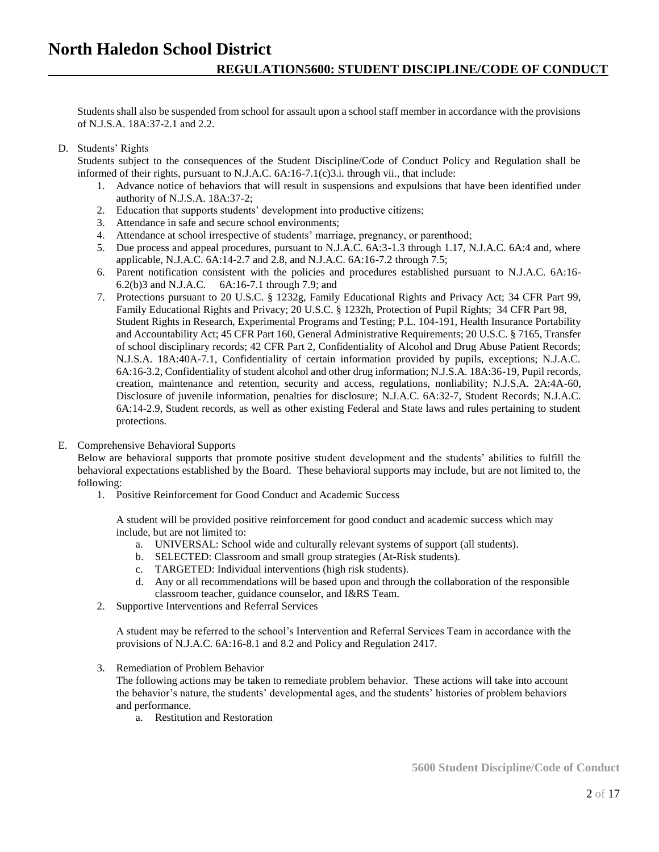Students shall also be suspended from school for assault upon a school staff member in accordance with the provisions of N.J.S.A. 18A:37-2.1 and 2.2.

### D. Students' Rights

Students subject to the consequences of the Student Discipline/Code of Conduct Policy and Regulation shall be informed of their rights, pursuant to N.J.A.C. 6A:16-7.1(c)3.i. through vii., that include:

- 1. Advance notice of behaviors that will result in suspensions and expulsions that have been identified under authority of N.J.S.A. 18A:37-2;
- 2. Education that supports students' development into productive citizens;
- 3. Attendance in safe and secure school environments;
- 4. Attendance at school irrespective of students' marriage, pregnancy, or parenthood;
- 5. Due process and appeal procedures, pursuant to N.J.A.C. 6A:3-1.3 through 1.17, N.J.A.C. 6A:4 and, where applicable, N.J.A.C. 6A:14-2.7 and 2.8, and N.J.A.C. 6A:16-7.2 through 7.5;
- 6. Parent notification consistent with the policies and procedures established pursuant to N.J.A.C. 6A:16- 6.2(b)3 and N.J.A.C. 6A:16-7.1 through 7.9; and
- 7. Protections pursuant to 20 U.S.C. § 1232g, Family Educational Rights and Privacy Act; 34 CFR Part 99, Family Educational Rights and Privacy; 20 U.S.C. § 1232h, Protection of Pupil Rights; 34 CFR Part 98, Student Rights in Research, Experimental Programs and Testing; P.L. 104-191, Health Insurance Portability and Accountability Act; 45 CFR Part 160, General Administrative Requirements; 20 U.S.C. § 7165, Transfer of school disciplinary records; 42 CFR Part 2, Confidentiality of Alcohol and Drug Abuse Patient Records; N.J.S.A. 18A:40A-7.1, Confidentiality of certain information provided by pupils, exceptions; N.J.A.C. 6A:16-3.2, Confidentiality of student alcohol and other drug information; N.J.S.A. 18A:36-19, Pupil records, creation, maintenance and retention, security and access, regulations, nonliability; N.J.S.A. 2A:4A-60, Disclosure of juvenile information, penalties for disclosure; N.J.A.C. 6A:32-7, Student Records; N.J.A.C. 6A:14-2.9, Student records, as well as other existing Federal and State laws and rules pertaining to student protections.

#### E. Comprehensive Behavioral Supports

Below are behavioral supports that promote positive student development and the students' abilities to fulfill the behavioral expectations established by the Board. These behavioral supports may include, but are not limited to, the following:

1. Positive Reinforcement for Good Conduct and Academic Success

A student will be provided positive reinforcement for good conduct and academic success which may include, but are not limited to:

- a. UNIVERSAL: School wide and culturally relevant systems of support (all students).
- b. SELECTED: Classroom and small group strategies (At-Risk students).
- c. TARGETED: Individual interventions (high risk students).
- d. Any or all recommendations will be based upon and through the collaboration of the responsible classroom teacher, guidance counselor, and I&RS Team.
- 2. Supportive Interventions and Referral Services

A student may be referred to the school's Intervention and Referral Services Team in accordance with the provisions of N.J.A.C. 6A:16-8.1 and 8.2 and Policy and Regulation 2417.

3. Remediation of Problem Behavior

The following actions may be taken to remediate problem behavior. These actions will take into account the behavior's nature, the students' developmental ages, and the students' histories of problem behaviors and performance.

a. Restitution and Restoration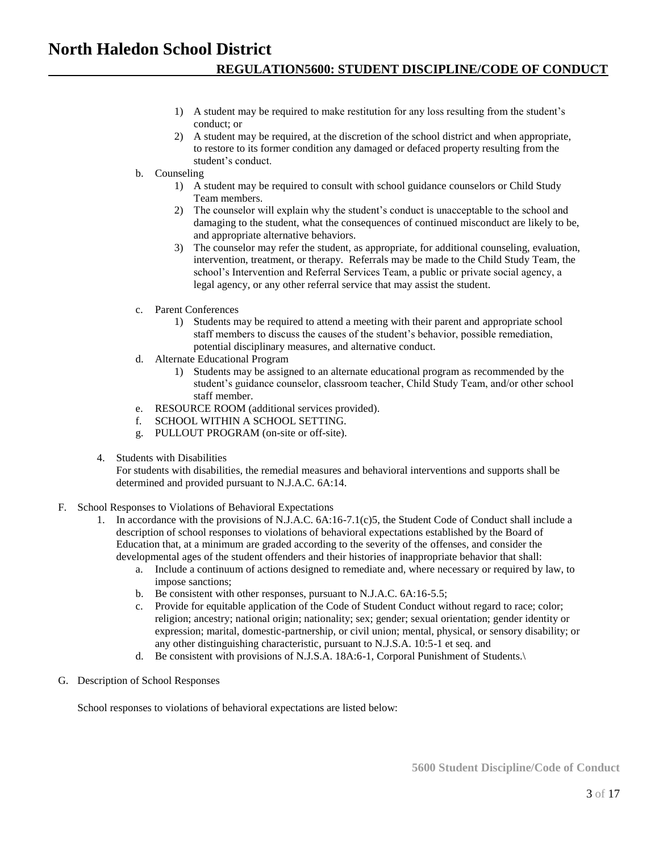- 1) A student may be required to make restitution for any loss resulting from the student's conduct; or
- 2) A student may be required, at the discretion of the school district and when appropriate, to restore to its former condition any damaged or defaced property resulting from the student's conduct.
- b. Counseling
	- 1) A student may be required to consult with school guidance counselors or Child Study Team members.
	- 2) The counselor will explain why the student's conduct is unacceptable to the school and damaging to the student, what the consequences of continued misconduct are likely to be, and appropriate alternative behaviors.
	- 3) The counselor may refer the student, as appropriate, for additional counseling, evaluation, intervention, treatment, or therapy. Referrals may be made to the Child Study Team, the school's Intervention and Referral Services Team, a public or private social agency, a legal agency, or any other referral service that may assist the student.
- c. Parent Conferences
	- 1) Students may be required to attend a meeting with their parent and appropriate school staff members to discuss the causes of the student's behavior, possible remediation, potential disciplinary measures, and alternative conduct.
- d. Alternate Educational Program
	- 1) Students may be assigned to an alternate educational program as recommended by the student's guidance counselor, classroom teacher, Child Study Team, and/or other school staff member.
- e. RESOURCE ROOM (additional services provided).
- f. SCHOOL WITHIN A SCHOOL SETTING.
- g. PULLOUT PROGRAM (on-site or off-site).
- 4. Students with Disabilities

For students with disabilities, the remedial measures and behavioral interventions and supports shall be determined and provided pursuant to N.J.A.C. 6A:14.

- F. School Responses to Violations of Behavioral Expectations
	- 1. In accordance with the provisions of N.J.A.C. 6A:16-7.1(c)5, the Student Code of Conduct shall include a description of school responses to violations of behavioral expectations established by the Board of Education that, at a minimum are graded according to the severity of the offenses, and consider the developmental ages of the student offenders and their histories of inappropriate behavior that shall:
		- a. Include a continuum of actions designed to remediate and, where necessary or required by law, to impose sanctions;
		- b. Be consistent with other responses, pursuant to N.J.A.C. 6A:16-5.5;
		- c. Provide for equitable application of the Code of Student Conduct without regard to race; color; religion; ancestry; national origin; nationality; sex; gender; sexual orientation; gender identity or expression; marital, domestic-partnership, or civil union; mental, physical, or sensory disability; or any other distinguishing characteristic, pursuant to N.J.S.A. 10:5-1 et seq. and
		- d. Be consistent with provisions of N.J.S.A. 18A:6-1, Corporal Punishment of Students.\
- G. Description of School Responses

School responses to violations of behavioral expectations are listed below: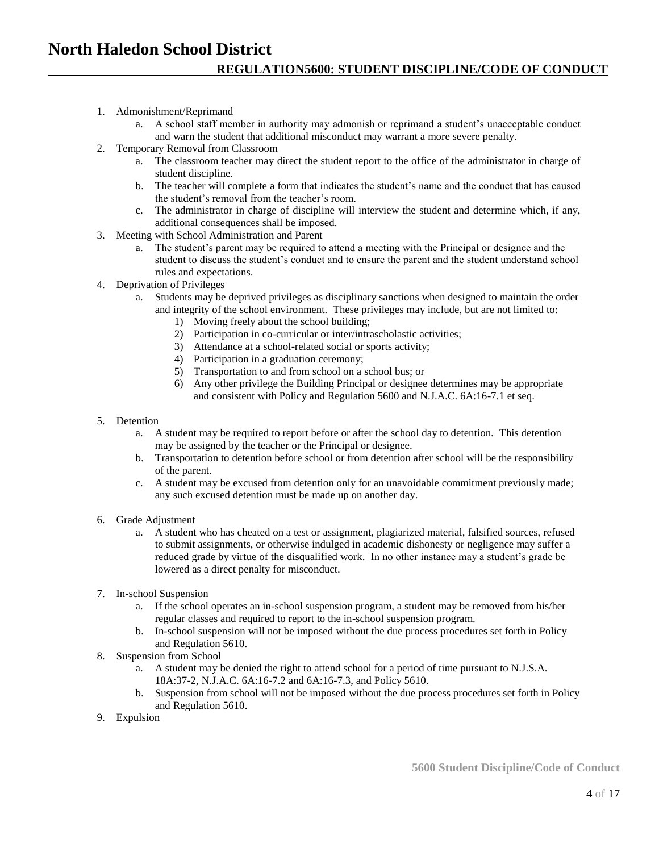- 1. Admonishment/Reprimand
	- a. A school staff member in authority may admonish or reprimand a student's unacceptable conduct and warn the student that additional misconduct may warrant a more severe penalty.
- 2. Temporary Removal from Classroom
	- a. The classroom teacher may direct the student report to the office of the administrator in charge of student discipline.
	- b. The teacher will complete a form that indicates the student's name and the conduct that has caused the student's removal from the teacher's room.
	- c. The administrator in charge of discipline will interview the student and determine which, if any, additional consequences shall be imposed.
- 3. Meeting with School Administration and Parent
	- a. The student's parent may be required to attend a meeting with the Principal or designee and the student to discuss the student's conduct and to ensure the parent and the student understand school rules and expectations.
- 4. Deprivation of Privileges
	- a. Students may be deprived privileges as disciplinary sanctions when designed to maintain the order and integrity of the school environment. These privileges may include, but are not limited to:
		- 1) Moving freely about the school building;
		- 2) Participation in co-curricular or inter/intrascholastic activities;
		- 3) Attendance at a school-related social or sports activity;
		- 4) Participation in a graduation ceremony;
		- 5) Transportation to and from school on a school bus; or
		- 6) Any other privilege the Building Principal or designee determines may be appropriate and consistent with Policy and Regulation 5600 and N.J.A.C. 6A:16-7.1 et seq.
- 5. Detention
	- a. A student may be required to report before or after the school day to detention. This detention may be assigned by the teacher or the Principal or designee.
	- b. Transportation to detention before school or from detention after school will be the responsibility of the parent.
	- c. A student may be excused from detention only for an unavoidable commitment previously made; any such excused detention must be made up on another day.
- 6. Grade Adjustment
	- a. A student who has cheated on a test or assignment, plagiarized material, falsified sources, refused to submit assignments, or otherwise indulged in academic dishonesty or negligence may suffer a reduced grade by virtue of the disqualified work. In no other instance may a student's grade be lowered as a direct penalty for misconduct.
- 7. In-school Suspension
	- a. If the school operates an in-school suspension program, a student may be removed from his/her regular classes and required to report to the in-school suspension program.
	- b. In-school suspension will not be imposed without the due process procedures set forth in Policy and Regulation 5610.
- 8. Suspension from School
	- a. A student may be denied the right to attend school for a period of time pursuant to N.J.S.A. 18A:37-2, N.J.A.C. 6A:16-7.2 and 6A:16-7.3, and Policy 5610.
	- b. Suspension from school will not be imposed without the due process procedures set forth in Policy and Regulation 5610.
- 9. Expulsion

**5600 Student Discipline/Code of Conduct**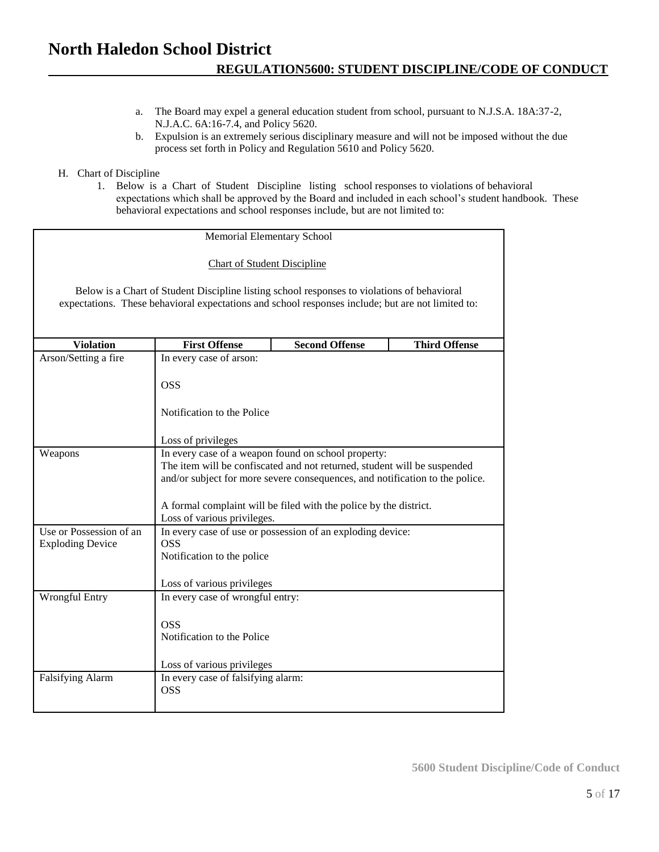- a. The Board may expel a general education student from school, pursuant to N.J.S.A. 18A:37-2, N.J.A.C. 6A:16-7.4, and Policy 5620.
- b. Expulsion is an extremely serious disciplinary measure and will not be imposed without the due process set forth in Policy and Regulation 5610 and Policy 5620.

### H. Chart of Discipline

1. Below is a Chart of Student Discipline listing school responses to violations of behavioral expectations which shall be approved by the Board and included in each school's student handbook. These behavioral expectations and school responses include, but are not limited to:

| Memorial Elementary School                                                                                                                                                                       |                                                                                                                                                                                                                                                                                      |                       |                      |  |
|--------------------------------------------------------------------------------------------------------------------------------------------------------------------------------------------------|--------------------------------------------------------------------------------------------------------------------------------------------------------------------------------------------------------------------------------------------------------------------------------------|-----------------------|----------------------|--|
| <b>Chart of Student Discipline</b>                                                                                                                                                               |                                                                                                                                                                                                                                                                                      |                       |                      |  |
| Below is a Chart of Student Discipline listing school responses to violations of behavioral<br>expectations. These behavioral expectations and school responses include; but are not limited to: |                                                                                                                                                                                                                                                                                      |                       |                      |  |
| <b>Violation</b>                                                                                                                                                                                 | <b>First Offense</b>                                                                                                                                                                                                                                                                 | <b>Second Offense</b> | <b>Third Offense</b> |  |
| Arson/Setting a fire                                                                                                                                                                             | In every case of arson:                                                                                                                                                                                                                                                              |                       |                      |  |
|                                                                                                                                                                                                  | <b>OSS</b>                                                                                                                                                                                                                                                                           |                       |                      |  |
|                                                                                                                                                                                                  | Notification to the Police                                                                                                                                                                                                                                                           |                       |                      |  |
|                                                                                                                                                                                                  | Loss of privileges                                                                                                                                                                                                                                                                   |                       |                      |  |
| Weapons                                                                                                                                                                                          | In every case of a weapon found on school property:<br>The item will be confiscated and not returned, student will be suspended<br>and/or subject for more severe consequences, and notification to the police.<br>A formal complaint will be filed with the police by the district. |                       |                      |  |
|                                                                                                                                                                                                  | Loss of various privileges.                                                                                                                                                                                                                                                          |                       |                      |  |
| Use or Possession of an<br><b>Exploding Device</b>                                                                                                                                               | In every case of use or possession of an exploding device:<br><b>OSS</b><br>Notification to the police                                                                                                                                                                               |                       |                      |  |
|                                                                                                                                                                                                  | Loss of various privileges                                                                                                                                                                                                                                                           |                       |                      |  |
| Wrongful Entry                                                                                                                                                                                   | In every case of wrongful entry:                                                                                                                                                                                                                                                     |                       |                      |  |
|                                                                                                                                                                                                  | <b>OSS</b><br>Notification to the Police<br>Loss of various privileges                                                                                                                                                                                                               |                       |                      |  |
| <b>Falsifying Alarm</b>                                                                                                                                                                          | In every case of falsifying alarm:<br><b>OSS</b>                                                                                                                                                                                                                                     |                       |                      |  |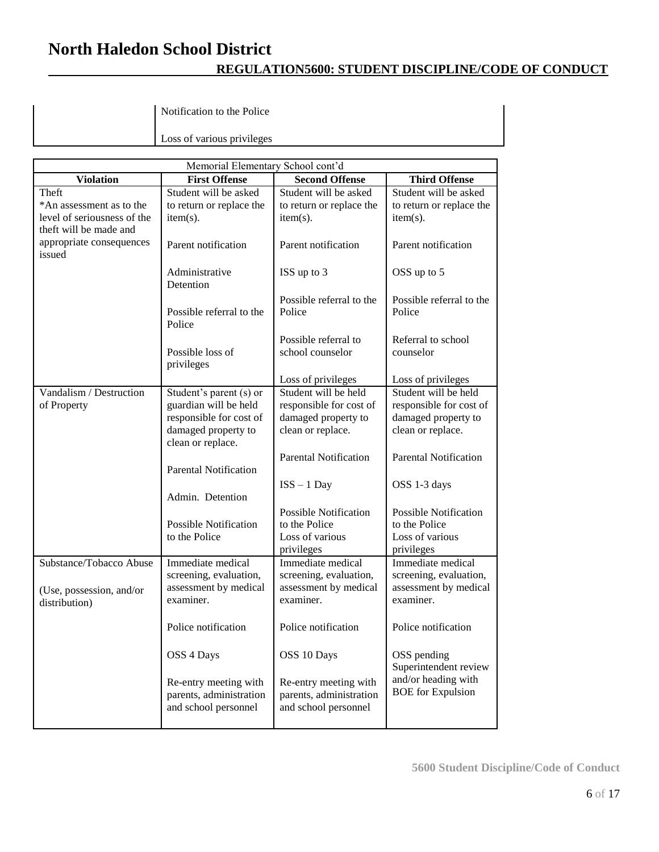## **REGULATION5600: STUDENT DISCIPLINE/CODE OF CONDUCT**

Notification to the Police

Loss of various privileges

| Memorial Elementary School cont'd  |                                    |                                    |                                    |
|------------------------------------|------------------------------------|------------------------------------|------------------------------------|
| <b>Violation</b>                   | <b>First Offense</b>               | <b>Second Offense</b>              | <b>Third Offense</b>               |
| Theft                              | Student will be asked              | Student will be asked              | Student will be asked              |
| *An assessment as to the           | to return or replace the           | to return or replace the           | to return or replace the           |
| level of seriousness of the        | $item(s)$ .                        | item(s).                           | $item(s)$ .                        |
| theft will be made and             |                                    |                                    |                                    |
| appropriate consequences<br>issued | Parent notification                | Parent notification                | Parent notification                |
|                                    | Administrative                     | ISS up to 3                        | OSS up to 5                        |
|                                    | Detention                          |                                    |                                    |
|                                    |                                    | Possible referral to the           | Possible referral to the           |
|                                    | Possible referral to the           | Police                             | Police                             |
|                                    | Police                             |                                    |                                    |
|                                    |                                    | Possible referral to               | Referral to school                 |
|                                    | Possible loss of                   | school counselor                   | counselor                          |
|                                    | privileges                         |                                    |                                    |
|                                    |                                    | Loss of privileges                 | Loss of privileges                 |
| Vandalism / Destruction            | Student's parent (s) or            | Student will be held               | Student will be held               |
| of Property                        | guardian will be held              | responsible for cost of            | responsible for cost of            |
|                                    | responsible for cost of            | damaged property to                | damaged property to                |
|                                    | damaged property to                | clean or replace.                  | clean or replace.                  |
|                                    | clean or replace.                  |                                    |                                    |
|                                    |                                    | <b>Parental Notification</b>       | <b>Parental Notification</b>       |
|                                    | <b>Parental Notification</b>       |                                    |                                    |
|                                    |                                    | $ISS - 1$ Day                      | OSS 1-3 days                       |
|                                    | Admin. Detention                   |                                    |                                    |
|                                    |                                    | <b>Possible Notification</b>       | <b>Possible Notification</b>       |
|                                    | <b>Possible Notification</b>       | to the Police                      | to the Police                      |
|                                    | to the Police                      | Loss of various                    | Loss of various                    |
|                                    |                                    | privileges                         | privileges                         |
| Substance/Tobacco Abuse            | Immediate medical                  | Immediate medical                  | Immediate medical                  |
|                                    | screening, evaluation,             | screening, evaluation,             | screening, evaluation,             |
| (Use, possession, and/or           | assessment by medical<br>examiner. | assessment by medical<br>examiner. | assessment by medical<br>examiner. |
| distribution)                      |                                    |                                    |                                    |
|                                    | Police notification                | Police notification                | Police notification                |
|                                    |                                    |                                    |                                    |
|                                    | OSS 4 Days                         | OSS 10 Days                        | OSS pending                        |
|                                    |                                    |                                    | Superintendent review              |
|                                    | Re-entry meeting with              | Re-entry meeting with              | and/or heading with                |
|                                    | parents, administration            | parents, administration            | <b>BOE</b> for Expulsion           |
|                                    | and school personnel               | and school personnel               |                                    |
|                                    |                                    |                                    |                                    |
|                                    |                                    |                                    |                                    |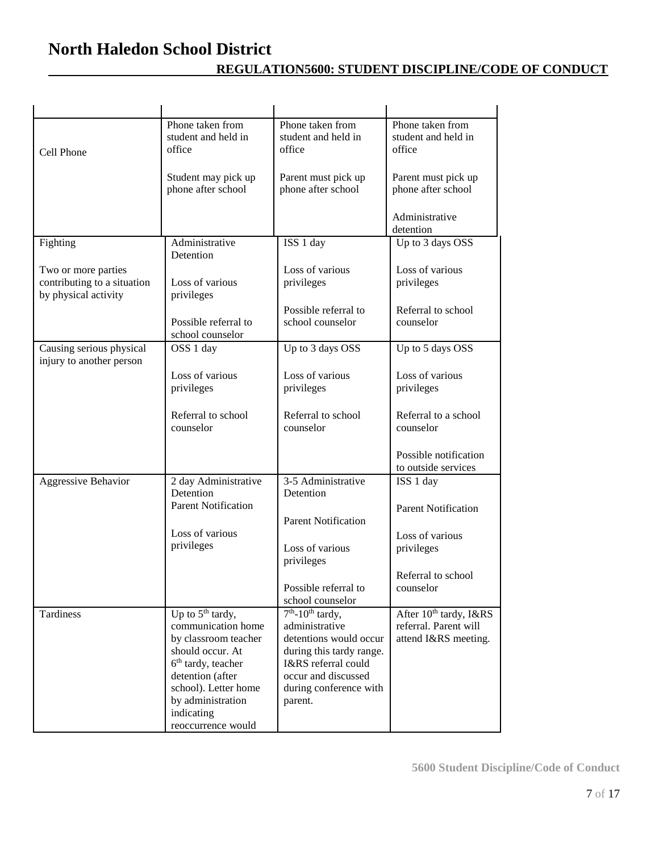|                             | Phone taken from                | Phone taken from               | Phone taken from                   |
|-----------------------------|---------------------------------|--------------------------------|------------------------------------|
|                             | student and held in             | student and held in            | student and held in                |
| Cell Phone                  | office                          | office                         | office                             |
|                             |                                 |                                |                                    |
|                             | Student may pick up             | Parent must pick up            | Parent must pick up                |
|                             | phone after school              | phone after school             | phone after school                 |
|                             |                                 |                                |                                    |
|                             |                                 |                                | Administrative                     |
|                             |                                 |                                | detention                          |
| Fighting                    | Administrative                  | ISS 1 day                      | Up to 3 days OSS                   |
|                             | Detention                       |                                |                                    |
| Two or more parties         |                                 | Loss of various                | Loss of various                    |
| contributing to a situation | Loss of various                 | privileges                     | privileges                         |
| by physical activity        | privileges                      |                                |                                    |
|                             |                                 | Possible referral to           | Referral to school                 |
|                             | Possible referral to            | school counselor               | counselor                          |
|                             | school counselor                |                                |                                    |
| Causing serious physical    | OSS 1 day                       | Up to 3 days OSS               | Up to 5 days OSS                   |
| injury to another person    |                                 |                                |                                    |
|                             | Loss of various                 | Loss of various                | Loss of various                    |
|                             | privileges                      | privileges                     | privileges                         |
|                             |                                 |                                |                                    |
|                             | Referral to school              | Referral to school             | Referral to a school               |
|                             | counselor                       | counselor                      | counselor                          |
|                             |                                 |                                |                                    |
|                             |                                 |                                | Possible notification              |
|                             |                                 |                                | to outside services                |
| Aggressive Behavior         | 2 day Administrative            | 3-5 Administrative             | ISS 1 day                          |
|                             | Detention                       | Detention                      |                                    |
|                             | <b>Parent Notification</b>      |                                | <b>Parent Notification</b>         |
|                             |                                 | <b>Parent Notification</b>     |                                    |
|                             | Loss of various                 |                                | Loss of various                    |
|                             | privileges                      | Loss of various                | privileges                         |
|                             |                                 | privileges                     |                                    |
|                             |                                 |                                | Referral to school                 |
|                             |                                 | Possible referral to           | counselor                          |
|                             |                                 | school counselor               |                                    |
| Tardiness                   | Up to $5th$ tardy,              | $7th$ -10 <sup>th</sup> tardy, | After 10 <sup>th</sup> tardy, I&RS |
|                             | communication home              | administrative                 | referral. Parent will              |
|                             | by classroom teacher            | detentions would occur         | attend I&RS meeting.               |
|                             | should occur. At                | during this tardy range.       |                                    |
|                             | $6th$ tardy, teacher            | I&RS referral could            |                                    |
|                             | detention (after                | occur and discussed            |                                    |
|                             | school). Letter home            | during conference with         |                                    |
|                             | by administration<br>indicating | parent.                        |                                    |
|                             | reoccurrence would              |                                |                                    |
|                             |                                 |                                |                                    |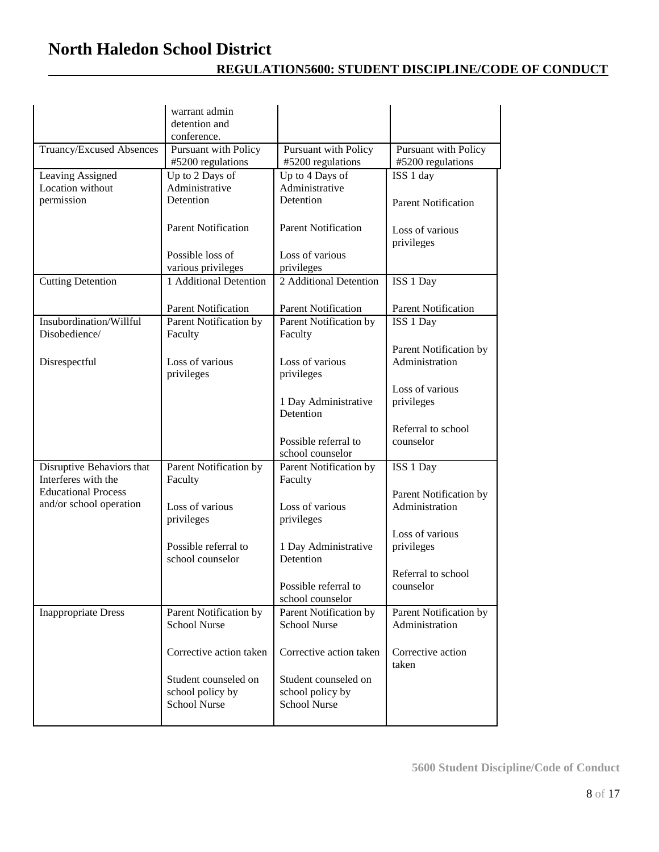|                                                       | warrant admin<br>detention and<br>conference.                   |                                                                 |                                           |
|-------------------------------------------------------|-----------------------------------------------------------------|-----------------------------------------------------------------|-------------------------------------------|
| Truancy/Excused Absences                              | Pursuant with Policy<br>#5200 regulations                       | Pursuant with Policy<br>#5200 regulations                       | Pursuant with Policy<br>#5200 regulations |
| Leaving Assigned<br>Location without<br>permission    | Up to 2 Days of<br>Administrative<br>Detention                  | Up to 4 Days of<br>Administrative<br>Detention                  | ISS 1 day<br><b>Parent Notification</b>   |
|                                                       | <b>Parent Notification</b>                                      | <b>Parent Notification</b>                                      | Loss of various<br>privileges             |
|                                                       | Possible loss of<br>various privileges                          | Loss of various<br>privileges                                   |                                           |
| <b>Cutting Detention</b>                              | 1 Additional Detention                                          | 2 Additional Detention                                          | ISS 1 Day                                 |
| Insubordination/Willful<br>Disobedience/              | <b>Parent Notification</b><br>Parent Notification by<br>Faculty | <b>Parent Notification</b><br>Parent Notification by<br>Faculty | <b>Parent Notification</b><br>ISS 1 Day   |
| Disrespectful                                         | Loss of various<br>privileges                                   | Loss of various<br>privileges                                   | Parent Notification by<br>Administration  |
|                                                       |                                                                 | 1 Day Administrative<br>Detention                               | Loss of various<br>privileges             |
|                                                       |                                                                 | Possible referral to<br>school counselor                        | Referral to school<br>counselor           |
| Disruptive Behaviors that<br>Interferes with the      | Parent Notification by<br>Faculty                               | Parent Notification by<br>Faculty                               | ISS 1 Day                                 |
| <b>Educational Process</b><br>and/or school operation | Loss of various<br>privileges                                   | Loss of various<br>privileges                                   | Parent Notification by<br>Administration  |
|                                                       | Possible referral to<br>school counselor                        | 1 Day Administrative<br>Detention                               | Loss of various<br>privileges             |
|                                                       |                                                                 | Possible referral to<br>school counselor                        | Referral to school<br>counselor           |
| <b>Inappropriate Dress</b>                            | Parent Notification by<br><b>School Nurse</b>                   | Parent Notification by<br><b>School Nurse</b>                   | Parent Notification by<br>Administration  |
|                                                       | Corrective action taken                                         | Corrective action taken                                         | Corrective action<br>taken                |
|                                                       | Student counseled on<br>school policy by<br><b>School Nurse</b> | Student counseled on<br>school policy by<br><b>School Nurse</b> |                                           |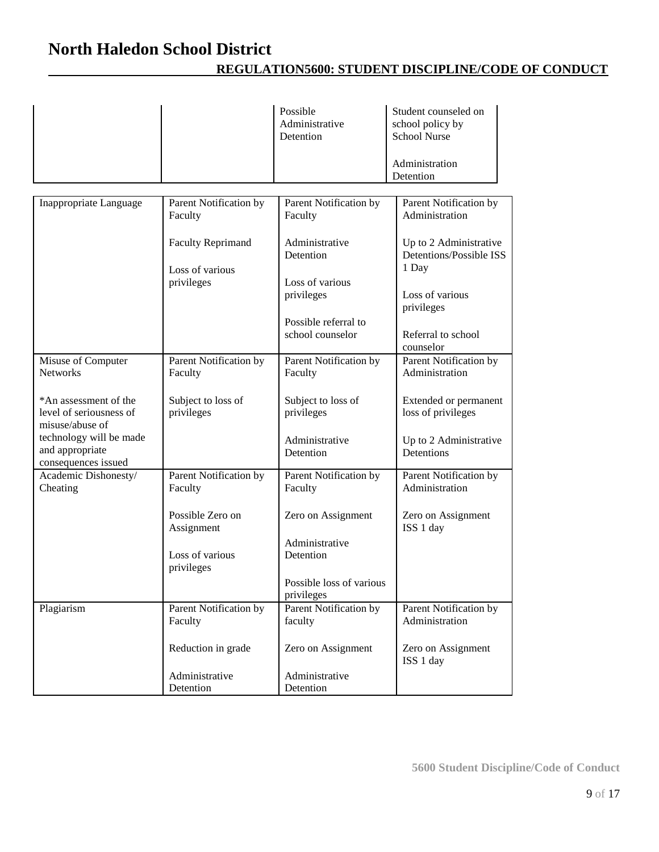| Possible<br>Administrative<br>Detention | Student counseled on<br>school policy by<br><b>School Nurse</b> |
|-----------------------------------------|-----------------------------------------------------------------|
|                                         | Administration<br>Detention                                     |

| Inappropriate Language                                              | Parent Notification by<br>Faculty | Parent Notification by<br>Faculty      | Parent Notification by<br>Administration                 |
|---------------------------------------------------------------------|-----------------------------------|----------------------------------------|----------------------------------------------------------|
|                                                                     | <b>Faculty Reprimand</b>          | Administrative<br>Detention            | Up to 2 Administrative<br><b>Detentions/Possible ISS</b> |
|                                                                     | Loss of various                   |                                        | 1 Day                                                    |
|                                                                     | privileges                        | Loss of various<br>privileges          | Loss of various                                          |
|                                                                     |                                   |                                        | privileges                                               |
|                                                                     |                                   | Possible referral to                   |                                                          |
|                                                                     |                                   | school counselor                       | Referral to school<br>counselor                          |
| Misuse of Computer<br><b>Networks</b>                               | Parent Notification by<br>Faculty | Parent Notification by<br>Faculty      | Parent Notification by<br>Administration                 |
| *An assessment of the<br>level of seriousness of<br>misuse/abuse of | Subject to loss of<br>privileges  | Subject to loss of<br>privileges       | Extended or permanent<br>loss of privileges              |
| technology will be made<br>and appropriate<br>consequences issued   |                                   | Administrative<br>Detention            | Up to 2 Administrative<br>Detentions                     |
| Academic Dishonesty/<br>Cheating                                    | Parent Notification by<br>Faculty | Parent Notification by<br>Faculty      | Parent Notification by<br>Administration                 |
|                                                                     | Possible Zero on<br>Assignment    | Zero on Assignment                     | Zero on Assignment<br>ISS 1 day                          |
|                                                                     | Loss of various<br>privileges     | Administrative<br>Detention            |                                                          |
|                                                                     |                                   | Possible loss of various<br>privileges |                                                          |
| Plagiarism                                                          | Parent Notification by            | <b>Parent Notification by</b>          | <b>Parent Notification by</b>                            |
|                                                                     | Faculty                           | faculty                                | Administration                                           |
|                                                                     | Reduction in grade                | Zero on Assignment                     | Zero on Assignment<br>ISS 1 day                          |
|                                                                     | Administrative                    | Administrative                         |                                                          |
|                                                                     | Detention                         | Detention                              |                                                          |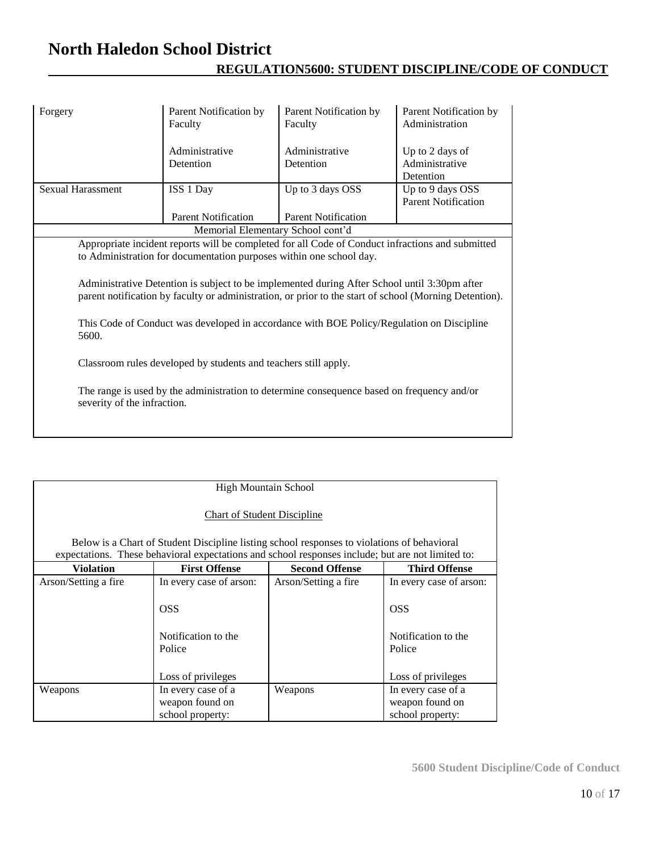| Forgery                                                                                                                                                                                                                                                                                                                                                                                                                                                                                 | Parent Notification by<br>Faculty | Parent Notification by<br>Faculty | Parent Notification by<br>Administration       |  |
|-----------------------------------------------------------------------------------------------------------------------------------------------------------------------------------------------------------------------------------------------------------------------------------------------------------------------------------------------------------------------------------------------------------------------------------------------------------------------------------------|-----------------------------------|-----------------------------------|------------------------------------------------|--|
|                                                                                                                                                                                                                                                                                                                                                                                                                                                                                         | Administrative<br>Detention       | Administrative<br>Detention       | Up to 2 days of<br>Administrative<br>Detention |  |
| Sexual Harassment                                                                                                                                                                                                                                                                                                                                                                                                                                                                       | ISS 1 Day                         | Up to 3 days OSS                  | Up to 9 days OSS<br><b>Parent Notification</b> |  |
|                                                                                                                                                                                                                                                                                                                                                                                                                                                                                         | <b>Parent Notification</b>        | <b>Parent Notification</b>        |                                                |  |
|                                                                                                                                                                                                                                                                                                                                                                                                                                                                                         | Memorial Elementary School cont'd |                                   |                                                |  |
| Appropriate incident reports will be completed for all Code of Conduct infractions and submitted<br>to Administration for documentation purposes within one school day.<br>Administrative Detention is subject to be implemented during After School until 3:30pm after<br>parent notification by faculty or administration, or prior to the start of school (Morning Detention).<br>This Code of Conduct was developed in accordance with BOE Policy/Regulation on Discipline<br>5600. |                                   |                                   |                                                |  |
| Classroom rules developed by students and teachers still apply.                                                                                                                                                                                                                                                                                                                                                                                                                         |                                   |                                   |                                                |  |
| The range is used by the administration to determine consequence based on frequency and/or<br>severity of the infraction.                                                                                                                                                                                                                                                                                                                                                               |                                   |                                   |                                                |  |

| <b>High Mountain School</b>                                                                 |                                                                                                   |                       |                                                           |
|---------------------------------------------------------------------------------------------|---------------------------------------------------------------------------------------------------|-----------------------|-----------------------------------------------------------|
| <b>Chart of Student Discipline</b>                                                          |                                                                                                   |                       |                                                           |
| Below is a Chart of Student Discipline listing school responses to violations of behavioral |                                                                                                   |                       |                                                           |
|                                                                                             | expectations. These behavioral expectations and school responses include; but are not limited to: |                       |                                                           |
| <b>Violation</b>                                                                            | <b>First Offense</b>                                                                              | <b>Second Offense</b> | <b>Third Offense</b>                                      |
| Arson/Setting a fire                                                                        | In every case of arson:                                                                           | Arson/Setting a fire  | In every case of arson:                                   |
|                                                                                             | <b>OSS</b>                                                                                        |                       | <b>OSS</b>                                                |
|                                                                                             | Notification to the<br>Police                                                                     |                       | Notification to the<br>Police                             |
|                                                                                             | Loss of privileges                                                                                |                       | Loss of privileges                                        |
| Weapons                                                                                     | In every case of a<br>weapon found on<br>school property:                                         | Weapons               | In every case of a<br>weapon found on<br>school property: |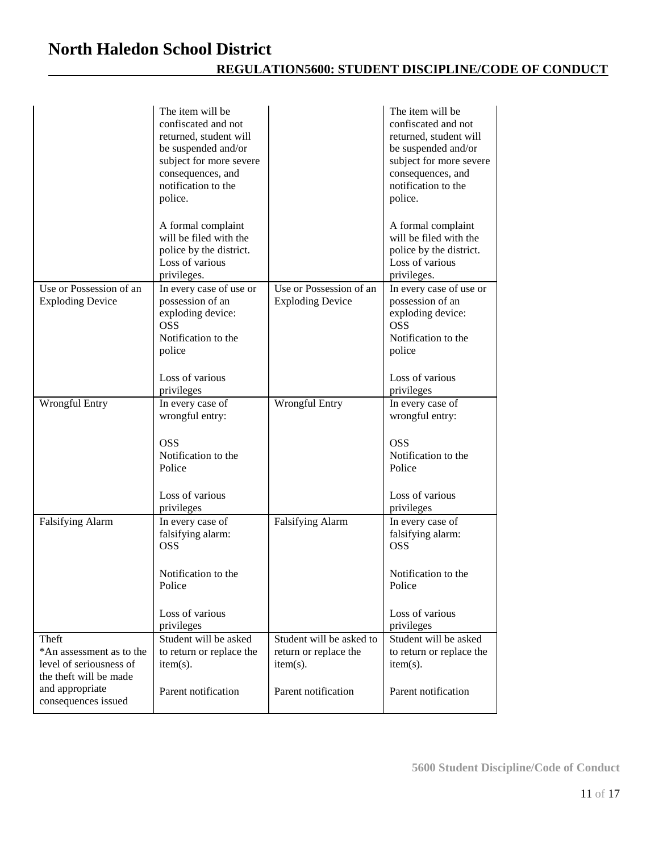|                                                                                                                                  | The item will be<br>confiscated and not<br>returned, student will<br>be suspended and/or<br>subject for more severe<br>consequences, and<br>notification to the<br>police.<br>A formal complaint |                                                                                         | The item will be<br>confiscated and not<br>returned, student will<br>be suspended and/or<br>subject for more severe<br>consequences, and<br>notification to the<br>police.<br>A formal complaint |
|----------------------------------------------------------------------------------------------------------------------------------|--------------------------------------------------------------------------------------------------------------------------------------------------------------------------------------------------|-----------------------------------------------------------------------------------------|--------------------------------------------------------------------------------------------------------------------------------------------------------------------------------------------------|
|                                                                                                                                  | will be filed with the<br>police by the district.<br>Loss of various<br>privileges.                                                                                                              |                                                                                         | will be filed with the<br>police by the district.<br>Loss of various<br>privileges.                                                                                                              |
| Use or Possession of an<br><b>Exploding Device</b>                                                                               | In every case of use or<br>possession of an<br>exploding device:<br><b>OSS</b><br>Notification to the<br>police<br>Loss of various                                                               | Use or Possession of an<br><b>Exploding Device</b>                                      | In every case of use or<br>possession of an<br>exploding device:<br><b>OSS</b><br>Notification to the<br>police<br>Loss of various                                                               |
| <b>Wrongful Entry</b>                                                                                                            | privileges<br>In every case of<br>wrongful entry:<br><b>OSS</b><br>Notification to the<br>Police<br>Loss of various<br>privileges                                                                | <b>Wrongful Entry</b>                                                                   | privileges<br>In every case of<br>wrongful entry:<br><b>OSS</b><br>Notification to the<br>Police<br>Loss of various<br>privileges                                                                |
| <b>Falsifying Alarm</b>                                                                                                          | In every case of<br>falsifying alarm:<br><b>OSS</b><br>Notification to the<br>Police<br>Loss of various<br>privileges                                                                            | <b>Falsifying Alarm</b>                                                                 | In every case of<br>falsifying alarm:<br><b>OSS</b><br>Notification to the<br>Police<br>Loss of various<br>privileges                                                                            |
| Theft<br>*An assessment as to the<br>level of seriousness of<br>the theft will be made<br>and appropriate<br>consequences issued | Student will be asked<br>to return or replace the<br>$item(s)$ .<br>Parent notification                                                                                                          | Student will be asked to<br>return or replace the<br>$item(s)$ .<br>Parent notification | Student will be asked<br>to return or replace the<br>$item(s)$ .<br>Parent notification                                                                                                          |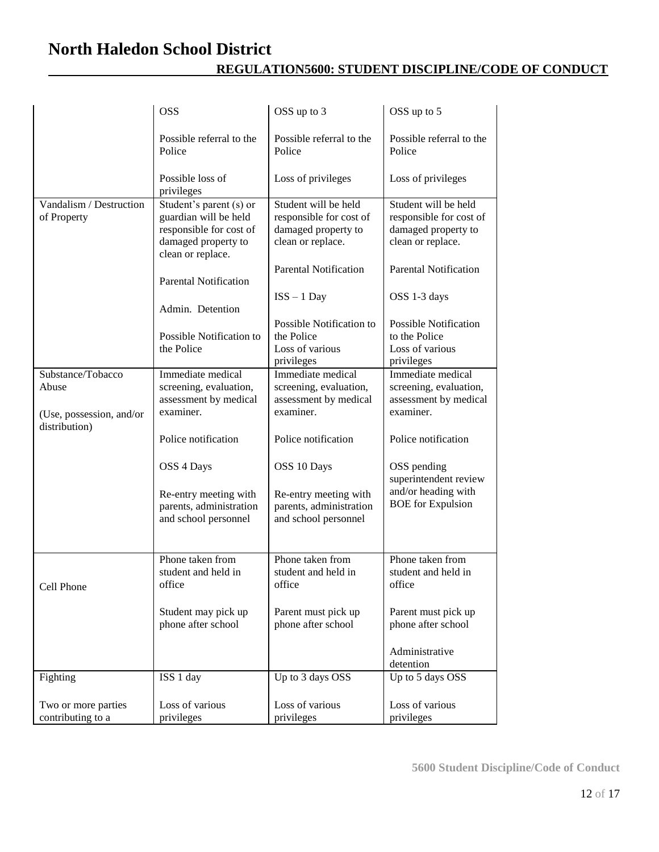|                                           | <b>OSS</b>                                                                                                              | OSS up to 3                                                                                 | OSS up to 5                                                                                 |
|-------------------------------------------|-------------------------------------------------------------------------------------------------------------------------|---------------------------------------------------------------------------------------------|---------------------------------------------------------------------------------------------|
|                                           | Possible referral to the<br>Police                                                                                      | Possible referral to the<br>Police                                                          | Possible referral to the<br>Police                                                          |
|                                           | Possible loss of<br>privileges                                                                                          | Loss of privileges                                                                          | Loss of privileges                                                                          |
| Vandalism / Destruction<br>of Property    | Student's parent (s) or<br>guardian will be held<br>responsible for cost of<br>damaged property to<br>clean or replace. | Student will be held<br>responsible for cost of<br>damaged property to<br>clean or replace. | Student will be held<br>responsible for cost of<br>damaged property to<br>clean or replace. |
|                                           | <b>Parental Notification</b>                                                                                            | <b>Parental Notification</b>                                                                | <b>Parental Notification</b>                                                                |
|                                           | Admin. Detention                                                                                                        | $ISS - 1$ Day                                                                               | OSS 1-3 days                                                                                |
|                                           | Possible Notification to<br>the Police                                                                                  | Possible Notification to<br>the Police<br>Loss of various<br>privileges                     | <b>Possible Notification</b><br>to the Police<br>Loss of various<br>privileges              |
| Substance/Tobacco                         | Immediate medical                                                                                                       | Immediate medical                                                                           | Immediate medical                                                                           |
| Abuse                                     | screening, evaluation,                                                                                                  | screening, evaluation,                                                                      | screening, evaluation,                                                                      |
| (Use, possession, and/or<br>distribution) | assessment by medical<br>examiner.                                                                                      | assessment by medical<br>examiner.                                                          | assessment by medical<br>examiner.                                                          |
|                                           | Police notification                                                                                                     | Police notification                                                                         | Police notification                                                                         |
|                                           | OSS 4 Days                                                                                                              | OSS 10 Days                                                                                 | OSS pending<br>superintendent review                                                        |
|                                           | Re-entry meeting with<br>parents, administration<br>and school personnel                                                | Re-entry meeting with<br>parents, administration<br>and school personnel                    | and/or heading with<br><b>BOE</b> for Expulsion                                             |
|                                           | Phone taken from                                                                                                        | Phone taken from                                                                            | Phone taken from                                                                            |
| Cell Phone                                | student and held in<br>office                                                                                           | student and held in<br>office                                                               | student and held in<br>office                                                               |
|                                           | Student may pick up<br>phone after school                                                                               | Parent must pick up<br>phone after school                                                   | Parent must pick up<br>phone after school                                                   |
|                                           |                                                                                                                         |                                                                                             | Administrative<br>detention                                                                 |
| Fighting                                  | ISS 1 day                                                                                                               | Up to 3 days OSS                                                                            | Up to 5 days OSS                                                                            |
| Two or more parties<br>contributing to a  | Loss of various<br>privileges                                                                                           | Loss of various<br>privileges                                                               | Loss of various<br>privileges                                                               |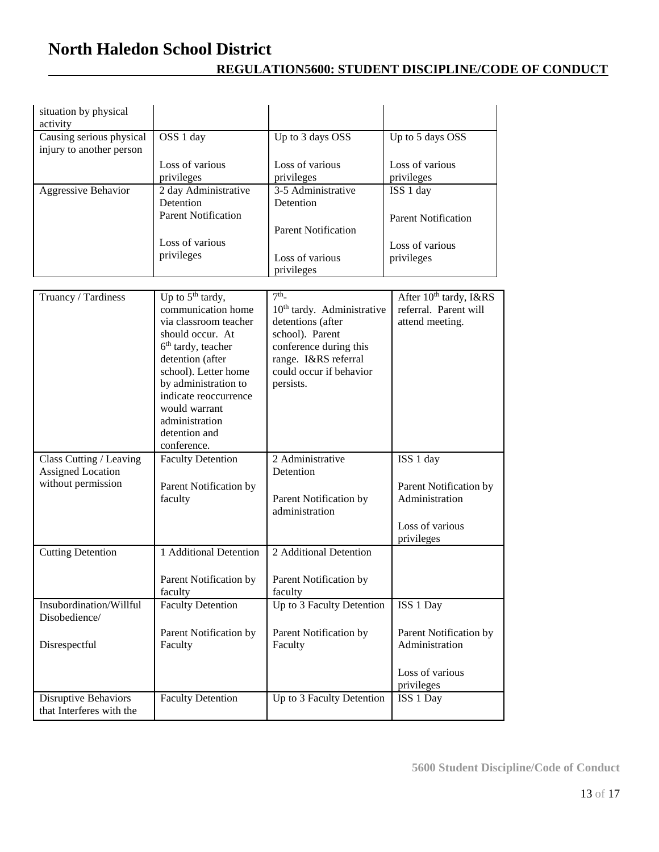| situation by physical<br>activity                       |                                                                                                                                                                                                                                                                                                   |                                                                                                                                                                                             |                                                                                |
|---------------------------------------------------------|---------------------------------------------------------------------------------------------------------------------------------------------------------------------------------------------------------------------------------------------------------------------------------------------------|---------------------------------------------------------------------------------------------------------------------------------------------------------------------------------------------|--------------------------------------------------------------------------------|
| Causing serious physical<br>injury to another person    | OSS 1 day                                                                                                                                                                                                                                                                                         | Up to 3 days OSS                                                                                                                                                                            | Up to 5 days OSS                                                               |
|                                                         | Loss of various<br>privileges                                                                                                                                                                                                                                                                     | Loss of various<br>privileges                                                                                                                                                               | Loss of various<br>privileges                                                  |
| Aggressive Behavior                                     | 2 day Administrative<br>Detention                                                                                                                                                                                                                                                                 | 3-5 Administrative<br>Detention                                                                                                                                                             | ISS 1 day                                                                      |
|                                                         | <b>Parent Notification</b>                                                                                                                                                                                                                                                                        | <b>Parent Notification</b>                                                                                                                                                                  | <b>Parent Notification</b>                                                     |
|                                                         | Loss of various<br>privileges                                                                                                                                                                                                                                                                     | Loss of various<br>privileges                                                                                                                                                               | Loss of various<br>privileges                                                  |
|                                                         |                                                                                                                                                                                                                                                                                                   |                                                                                                                                                                                             |                                                                                |
| Truancy / Tardiness                                     | Up to 5 <sup>th</sup> tardy,<br>communication home<br>via classroom teacher<br>should occur. At<br>6 <sup>th</sup> tardy, teacher<br>detention (after<br>school). Letter home<br>by administration to<br>indicate reoccurrence<br>would warrant<br>administration<br>detention and<br>conference. | 7 <sup>th</sup><br>10 <sup>th</sup> tardy. Administrative<br>detentions (after<br>school). Parent<br>conference during this<br>range. I&RS referral<br>could occur if behavior<br>persists. | After 10 <sup>th</sup> tardy, I&RS<br>referral. Parent will<br>attend meeting. |
| Class Cutting / Leaving<br><b>Assigned Location</b>     | <b>Faculty Detention</b>                                                                                                                                                                                                                                                                          | 2 Administrative<br>Detention                                                                                                                                                               | ISS 1 day                                                                      |
| without permission                                      | Parent Notification by<br>faculty                                                                                                                                                                                                                                                                 | Parent Notification by<br>administration                                                                                                                                                    | Parent Notification by<br>Administration                                       |
|                                                         |                                                                                                                                                                                                                                                                                                   |                                                                                                                                                                                             | Loss of various<br>privileges                                                  |
| <b>Cutting Detention</b>                                | 1 Additional Detention                                                                                                                                                                                                                                                                            | 2 Additional Detention                                                                                                                                                                      |                                                                                |
|                                                         | Parent Notification by<br>faculty                                                                                                                                                                                                                                                                 | Parent Notification by<br>faculty                                                                                                                                                           |                                                                                |
| Insubordination/Willful<br>Disobedience/                | <b>Faculty Detention</b>                                                                                                                                                                                                                                                                          | Up to 3 Faculty Detention                                                                                                                                                                   | ISS 1 Day                                                                      |
| Disrespectful                                           | Parent Notification by<br>Faculty                                                                                                                                                                                                                                                                 | Parent Notification by<br>Faculty                                                                                                                                                           | Parent Notification by<br>Administration                                       |
|                                                         |                                                                                                                                                                                                                                                                                                   |                                                                                                                                                                                             | Loss of various<br>privileges                                                  |
| <b>Disruptive Behaviors</b><br>that Interferes with the | <b>Faculty Detention</b>                                                                                                                                                                                                                                                                          | Up to 3 Faculty Detention                                                                                                                                                                   | ISS 1 Day                                                                      |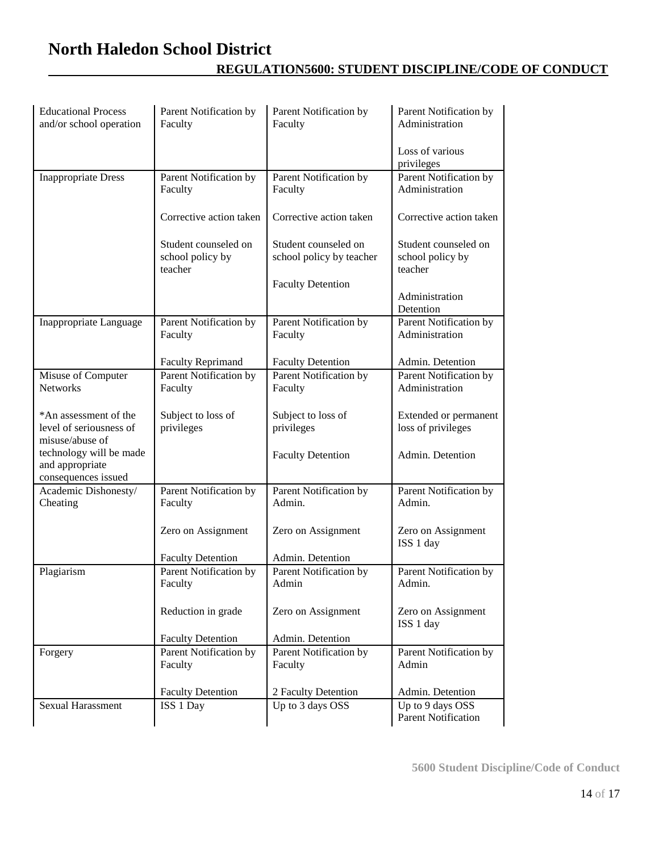| <b>Educational Process</b><br>and/or school operation               | Parent Notification by<br>Faculty                   | Parent Notification by<br>Faculty                | Parent Notification by<br>Administration            |
|---------------------------------------------------------------------|-----------------------------------------------------|--------------------------------------------------|-----------------------------------------------------|
|                                                                     |                                                     |                                                  | Loss of various<br>privileges                       |
| <b>Inappropriate Dress</b>                                          | Parent Notification by<br>Faculty                   | Parent Notification by<br>Faculty                | <b>Parent Notification by</b><br>Administration     |
|                                                                     | Corrective action taken                             | Corrective action taken                          | Corrective action taken                             |
|                                                                     | Student counseled on<br>school policy by<br>teacher | Student counseled on<br>school policy by teacher | Student counseled on<br>school policy by<br>teacher |
|                                                                     |                                                     | <b>Faculty Detention</b>                         | Administration<br>Detention                         |
| Inappropriate Language                                              | Parent Notification by<br>Faculty                   | Parent Notification by<br>Faculty                | Parent Notification by<br>Administration            |
|                                                                     | <b>Faculty Reprimand</b>                            | <b>Faculty Detention</b>                         | Admin. Detention                                    |
| Misuse of Computer<br><b>Networks</b>                               | Parent Notification by<br>Faculty                   | Parent Notification by<br>Faculty                | Parent Notification by<br>Administration            |
| *An assessment of the<br>level of seriousness of<br>misuse/abuse of | Subject to loss of<br>privileges                    | Subject to loss of<br>privileges                 | Extended or permanent<br>loss of privileges         |
| technology will be made<br>and appropriate<br>consequences issued   |                                                     | <b>Faculty Detention</b>                         | Admin. Detention                                    |
| Academic Dishonesty/<br>Cheating                                    | Parent Notification by<br>Faculty                   | Parent Notification by<br>Admin.                 | Parent Notification by<br>Admin.                    |
|                                                                     | Zero on Assignment                                  | Zero on Assignment                               | Zero on Assignment<br>ISS 1 day                     |
|                                                                     | <b>Faculty Detention</b>                            | Admin. Detention                                 |                                                     |
| Plagiarism                                                          | Parent Notification by<br>Faculty                   | Parent Notification by<br>Admin                  | Parent Notification by<br>Admin.                    |
|                                                                     | Reduction in grade                                  | Zero on Assignment                               | Zero on Assignment<br>ISS 1 day                     |
|                                                                     | <b>Faculty Detention</b>                            | Admin. Detention                                 |                                                     |
| Forgery                                                             | Parent Notification by<br>Faculty                   | Parent Notification by<br>Faculty                | Parent Notification by<br>Admin                     |
|                                                                     | <b>Faculty Detention</b>                            | 2 Faculty Detention                              | Admin. Detention                                    |
| Sexual Harassment                                                   | ISS 1 Day                                           | Up to 3 days OSS                                 | Up to 9 days OSS<br>Parent Notification             |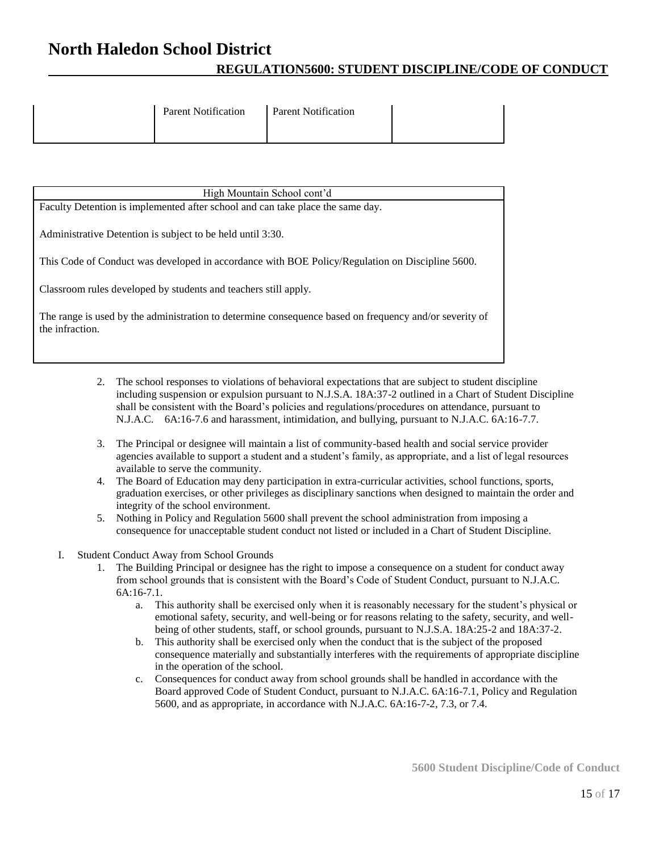| <b>Parent Notification</b> | <b>Parent Notification</b> |  |
|----------------------------|----------------------------|--|
|                            |                            |  |

- 2. The school responses to violations of behavioral expectations that are subject to student discipline including suspension or expulsion pursuant to N.J.S.A. 18A:37-2 outlined in a Chart of Student Discipline shall be consistent with the Board's policies and regulations/procedures on attendance, pursuant to N.J.A.C. 6A:16-7.6 and harassment, intimidation, and bullying, pursuant to N.J.A.C. 6A:16-7.7.
- 3. The Principal or designee will maintain a list of community-based health and social service provider agencies available to support a student and a student's family, as appropriate, and a list of legal resources available to serve the community.
- 4. The Board of Education may deny participation in extra-curricular activities, school functions, sports, graduation exercises, or other privileges as disciplinary sanctions when designed to maintain the order and integrity of the school environment.
- 5. Nothing in Policy and Regulation 5600 shall prevent the school administration from imposing a consequence for unacceptable student conduct not listed or included in a Chart of Student Discipline.
- I. Student Conduct Away from School Grounds
	- 1. The Building Principal or designee has the right to impose a consequence on a student for conduct away from school grounds that is consistent with the Board's Code of Student Conduct, pursuant to N.J.A.C. 6A:16-7.1.
		- a. This authority shall be exercised only when it is reasonably necessary for the student's physical or emotional safety, security, and well-being or for reasons relating to the safety, security, and wellbeing of other students, staff, or school grounds, pursuant to N.J.S.A. 18A:25-2 and 18A:37-2.
		- b. This authority shall be exercised only when the conduct that is the subject of the proposed consequence materially and substantially interferes with the requirements of appropriate discipline in the operation of the school.
		- c. Consequences for conduct away from school grounds shall be handled in accordance with the Board approved Code of Student Conduct, pursuant to N.J.A.C. 6A:16-7.1, Policy and Regulation 5600, and as appropriate, in accordance with N.J.A.C. 6A:16-7-2, 7.3, or 7.4.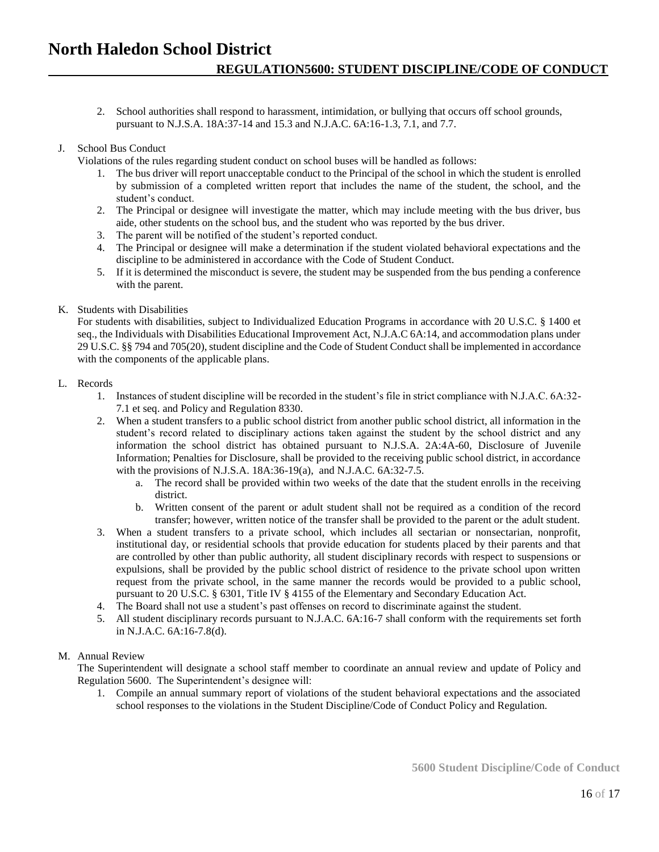2. School authorities shall respond to harassment, intimidation, or bullying that occurs off school grounds, pursuant to N.J.S.A. 18A:37-14 and 15.3 and N.J.A.C. 6A:16-1.3, 7.1, and 7.7.

### J. School Bus Conduct

Violations of the rules regarding student conduct on school buses will be handled as follows:

- 1. The bus driver will report unacceptable conduct to the Principal of the school in which the student is enrolled by submission of a completed written report that includes the name of the student, the school, and the student's conduct.
- 2. The Principal or designee will investigate the matter, which may include meeting with the bus driver, bus aide, other students on the school bus, and the student who was reported by the bus driver.
- 3. The parent will be notified of the student's reported conduct.
- 4. The Principal or designee will make a determination if the student violated behavioral expectations and the discipline to be administered in accordance with the Code of Student Conduct.
- 5. If it is determined the misconduct is severe, the student may be suspended from the bus pending a conference with the parent.

### K. Students with Disabilities

For students with disabilities, subject to Individualized Education Programs in accordance with 20 U.S.C. § 1400 et seq., the Individuals with Disabilities Educational Improvement Act, N.J.A.C 6A:14, and accommodation plans under 29 U.S.C. §§ 794 and 705(20), student discipline and the Code of Student Conduct shall be implemented in accordance with the components of the applicable plans.

#### L. Records

- 1. Instances of student discipline will be recorded in the student's file in strict compliance with N.J.A.C. 6A:32- 7.1 et seq. and Policy and Regulation 8330.
- 2. When a student transfers to a public school district from another public school district, all information in the student's record related to disciplinary actions taken against the student by the school district and any information the school district has obtained pursuant to N.J.S.A. 2A:4A-60, Disclosure of Juvenile Information; Penalties for Disclosure, shall be provided to the receiving public school district, in accordance with the provisions of N.J.S.A. 18A:36-19(a), and N.J.A.C. 6A:32-7.5.
	- a. The record shall be provided within two weeks of the date that the student enrolls in the receiving district.
	- b. Written consent of the parent or adult student shall not be required as a condition of the record transfer; however, written notice of the transfer shall be provided to the parent or the adult student.
- 3. When a student transfers to a private school, which includes all sectarian or nonsectarian, nonprofit, institutional day, or residential schools that provide education for students placed by their parents and that are controlled by other than public authority, all student disciplinary records with respect to suspensions or expulsions, shall be provided by the public school district of residence to the private school upon written request from the private school, in the same manner the records would be provided to a public school, pursuant to 20 U.S.C. § 6301, Title IV § 4155 of the Elementary and Secondary Education Act.
- 4. The Board shall not use a student's past offenses on record to discriminate against the student.
- 5. All student disciplinary records pursuant to N.J.A.C. 6A:16-7 shall conform with the requirements set forth in N.J.A.C. 6A:16-7.8(d).

### M. Annual Review

The Superintendent will designate a school staff member to coordinate an annual review and update of Policy and Regulation 5600. The Superintendent's designee will:

1. Compile an annual summary report of violations of the student behavioral expectations and the associated school responses to the violations in the Student Discipline/Code of Conduct Policy and Regulation.